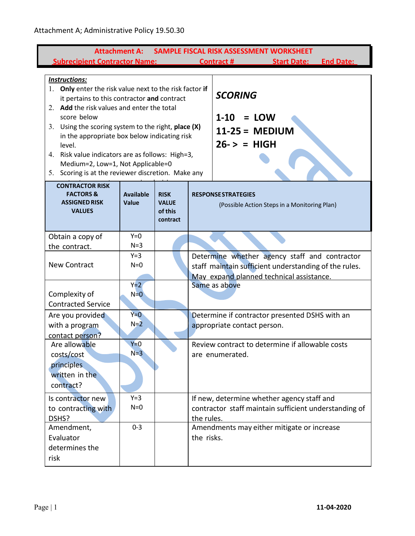| SAMPLE FISCAL RISK ASSESSMENT WORKSHEET<br><b>Attachment A:</b><br><b>Subrecipient Contractor Name:</b><br><b>Start Date:</b><br><b>End Date:</b><br><b>Contract#</b>                                                                                                                                                                                                                                                                                          |                           |                                                    |                                                                                                                                                    |  |  |  |
|----------------------------------------------------------------------------------------------------------------------------------------------------------------------------------------------------------------------------------------------------------------------------------------------------------------------------------------------------------------------------------------------------------------------------------------------------------------|---------------------------|----------------------------------------------------|----------------------------------------------------------------------------------------------------------------------------------------------------|--|--|--|
| <b>Instructions:</b><br>1. Only enter the risk value next to the risk factor if<br>it pertains to this contractor and contract<br>2. Add the risk values and enter the total<br>score below<br>3. Using the scoring system to the right, place (X)<br>in the appropriate box below indicating risk<br>level.<br>Risk value indicators are as follows: High=3,<br>4.<br>Medium=2, Low=1, Not Applicable=0<br>5. Scoring is at the reviewer discretion. Make any |                           |                                                    | <b>SCORING</b><br>$1 - 10$<br>$=$ LOW<br>$11-25 = MEDIUM$<br>$26 - \ge$ = HIGH                                                                     |  |  |  |
| <b>CONTRACTOR RISK</b><br><b>FACTORS &amp;</b><br><b>ASSIGNED RISK</b><br><b>VALUES</b>                                                                                                                                                                                                                                                                                                                                                                        | <b>Available</b><br>Value | <b>RISK</b><br><b>VALUE</b><br>of this<br>contract | <b>RESPONSE STRATEGIES</b><br>(Possible Action Steps in a Monitoring Plan)                                                                         |  |  |  |
| Obtain a copy of<br>the contract.                                                                                                                                                                                                                                                                                                                                                                                                                              | $Y=0$<br>$N=3$            |                                                    |                                                                                                                                                    |  |  |  |
| <b>New Contract</b>                                                                                                                                                                                                                                                                                                                                                                                                                                            | $Y=3$<br>$N=0$            |                                                    | Determine whether agency staff and contractor<br>staff maintain sufficient understanding of the rules.<br>May expand planned technical assistance. |  |  |  |
| Complexity of<br><b>Contracted Service</b>                                                                                                                                                                                                                                                                                                                                                                                                                     | $Y=2$<br>$N=0$            |                                                    | Same as above                                                                                                                                      |  |  |  |
| Are you provided<br>with a program<br>contact person?                                                                                                                                                                                                                                                                                                                                                                                                          | $Y=0$<br>$N=2$            |                                                    | Determine if contractor presented DSHS with an<br>appropriate contact person.                                                                      |  |  |  |
| Are allowable<br>costs/cost<br>principles<br>written in the<br>contract?                                                                                                                                                                                                                                                                                                                                                                                       | $Y=0$<br>$N=3$            |                                                    | Review contract to determine if allowable costs<br>are enumerated.                                                                                 |  |  |  |
| Is contractor new<br>to contracting with<br>DSHS?                                                                                                                                                                                                                                                                                                                                                                                                              | $Y=3$<br>$N=0$            |                                                    | If new, determine whether agency staff and<br>contractor staff maintain sufficient understanding of<br>the rules.                                  |  |  |  |
| Amendment,<br>Evaluator<br>determines the<br>risk                                                                                                                                                                                                                                                                                                                                                                                                              | $0 - 3$                   |                                                    | Amendments may either mitigate or increase<br>the risks.                                                                                           |  |  |  |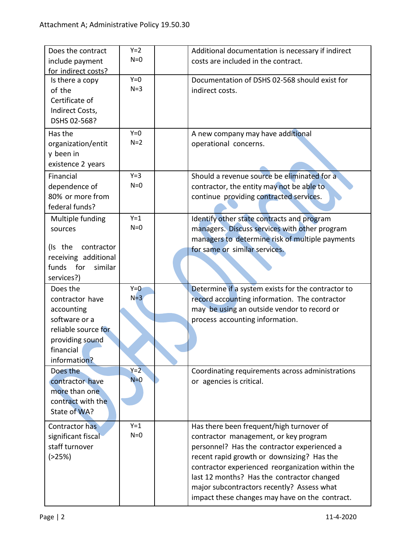| Does the contract     | $Y=2$ | Additional documentation is necessary if indirect  |
|-----------------------|-------|----------------------------------------------------|
| include payment       | $N=0$ | costs are included in the contract.                |
| for indirect costs?   |       |                                                    |
| Is there a copy       | $Y=0$ | Documentation of DSHS 02-568 should exist for      |
| of the                | $N=3$ | indirect costs.                                    |
| Certificate of        |       |                                                    |
| Indirect Costs,       |       |                                                    |
| DSHS 02-568?          |       |                                                    |
|                       | $Y=0$ |                                                    |
| Has the               | $N=2$ | A new company may have additional                  |
| organization/entit    |       | operational concerns.                              |
| y been in             |       |                                                    |
| existence 2 years     |       |                                                    |
| Financial             | $Y=3$ | Should a revenue source be eliminated for a        |
| dependence of         | $N=0$ | contractor, the entity may not be able to          |
| 80% or more from      |       | continue providing contracted services.            |
| federal funds?        |       |                                                    |
| Multiple funding      | $Y=1$ | Identify other state contracts and program         |
| sources               | $N=0$ | managers. Discuss services with other program      |
|                       |       | managers to determine risk of multiple payments    |
| (Is the<br>contractor |       |                                                    |
| receiving additional  |       | for same or similar services.                      |
| similar<br>funds for  |       |                                                    |
| services?)            |       |                                                    |
|                       | $Y=0$ |                                                    |
| Does the              | $N=3$ | Determine if a system exists for the contractor to |
| contractor have       |       | record accounting information. The contractor      |
| accounting            |       | may be using an outside vendor to record or        |
| software or a         |       | process accounting information.                    |
| reliable source for   |       |                                                    |
| providing sound       |       |                                                    |
| financial             |       |                                                    |
| information?          |       |                                                    |
| Does the              | $Y=2$ | Coordinating requirements across administrations   |
| contractor have       | $N=0$ |                                                    |
| more than one         |       | or agencies is critical.                           |
|                       |       |                                                    |
|                       |       |                                                    |
| contract with the     |       |                                                    |
| State of WA?          |       |                                                    |
| Contractor has        | $Y=1$ | Has there been frequent/high turnover of           |
| significant fiscal    | $N=0$ | contractor management, or key program              |
| staff turnover        |       | personnel? Has the contractor experienced a        |
| ( > 25%)              |       | recent rapid growth or downsizing? Has the         |
|                       |       | contractor experienced reorganization within the   |
|                       |       | last 12 months? Has the contractor changed         |
|                       |       | major subcontractors recently? Assess what         |
|                       |       | impact these changes may have on the contract.     |